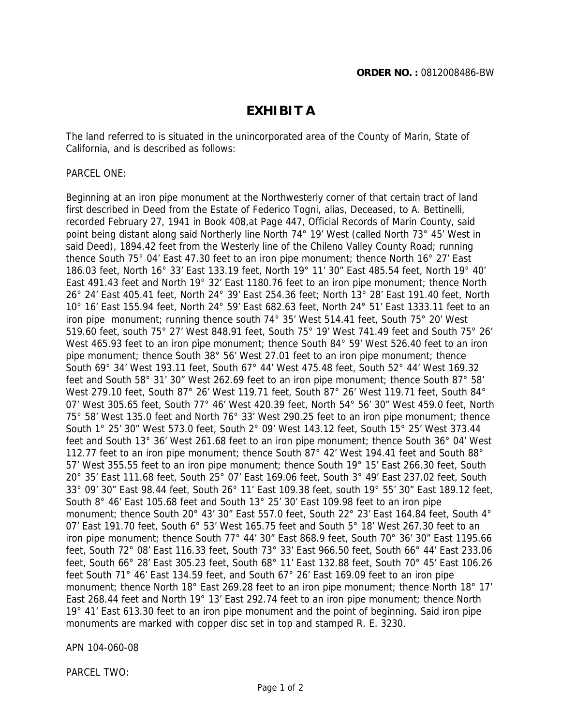# **EXHIBIT A**

The land referred to is situated in the unincorporated area of the County of Marin, State of California, and is described as follows:

### PARCEL ONE:

Beginning at an iron pipe monument at the Northwesterly corner of that certain tract of land first described in Deed from the Estate of Federico Togni, alias, Deceased, to A. Bettinelli, recorded February 27, 1941 in Book 408,at Page 447, Official Records of Marin County, said point being distant along said Northerly line North 74° 19' West (called North 73° 45' West in said Deed), 1894.42 feet from the Westerly line of the Chileno Valley County Road; running thence South 75° 04' East 47.30 feet to an iron pipe monument; thence North 16° 27' East 186.03 feet, North 16° 33' East 133.19 feet, North 19° 11' 30" East 485.54 feet, North 19° 40' East 491.43 feet and North 19° 32' East 1180.76 feet to an iron pipe monument; thence North 26° 24' East 405.41 feet, North 24° 39' East 254.36 feet; North 13° 28' East 191.40 feet, North 10° 16' East 155.94 feet, North 24° 59' East 682.63 feet, North 24° 51' East 1333.11 feet to an iron pipe monument; running thence south 74° 35' West 514.41 feet, South 75° 20' West 519.60 feet, south 75° 27' West 848.91 feet, South 75° 19' West 741.49 feet and South 75° 26' West 465.93 feet to an iron pipe monument; thence South 84° 59' West 526.40 feet to an iron pipe monument; thence South 38° 56' West 27.01 feet to an iron pipe monument; thence South 69° 34' West 193.11 feet, South 67° 44' West 475.48 feet, South 52° 44' West 169.32 feet and South 58° 31' 30" West 262.69 feet to an iron pipe monument; thence South 87° 58' West 279.10 feet, South 87° 26' West 119.71 feet, South 87° 26' West 119.71 feet, South 84° 07' West 305.65 feet, South 77° 46' West 420.39 feet, North 54° 56' 30" West 459.0 feet, North 75° 58' West 135.0 feet and North 76° 33' West 290.25 feet to an iron pipe monument; thence South 1° 25' 30" West 573.0 feet, South 2° 09' West 143.12 feet, South 15° 25' West 373.44 feet and South 13° 36' West 261.68 feet to an iron pipe monument; thence South 36° 04' West 112.77 feet to an iron pipe monument; thence South 87° 42' West 194.41 feet and South 88° 57' West 355.55 feet to an iron pipe monument; thence South 19° 15' East 266.30 feet, South 20° 35' East 111.68 feet, South 25° 07' East 169.06 feet, South 3° 49' East 237.02 feet, South 33° 09' 30" East 98.44 feet, South 26° 11' East 109.38 feet, south 19° 55' 30" East 189.12 feet, South 8° 46' East 105.68 feet and South 13° 25' 30' East 109.98 feet to an iron pipe monument; thence South 20° 43' 30" East 557.0 feet, South 22° 23' East 164.84 feet, South 4° 07' East 191.70 feet, South 6° 53' West 165.75 feet and South 5° 18' West 267.30 feet to an iron pipe monument; thence South 77° 44' 30" East 868.9 feet, South 70° 36' 30" East 1195.66 feet, South 72° 08' East 116.33 feet, South 73° 33' East 966.50 feet, South 66° 44' East 233.06 feet, South 66° 28' East 305.23 feet, South 68° 11' East 132.88 feet, South 70° 45' East 106.26 feet South 71° 46' East 134.59 feet, and South 67° 26' East 169.09 feet to an iron pipe monument; thence North 18° East 269.28 feet to an iron pipe monument; thence North 18° 17' East 268.44 feet and North 19° 13' East 292.74 feet to an iron pipe monument; thence North 19° 41' East 613.30 feet to an iron pipe monument and the point of beginning. Said iron pipe monuments are marked with copper disc set in top and stamped R. E. 3230.

APN 104-060-08

PARCEL TWO: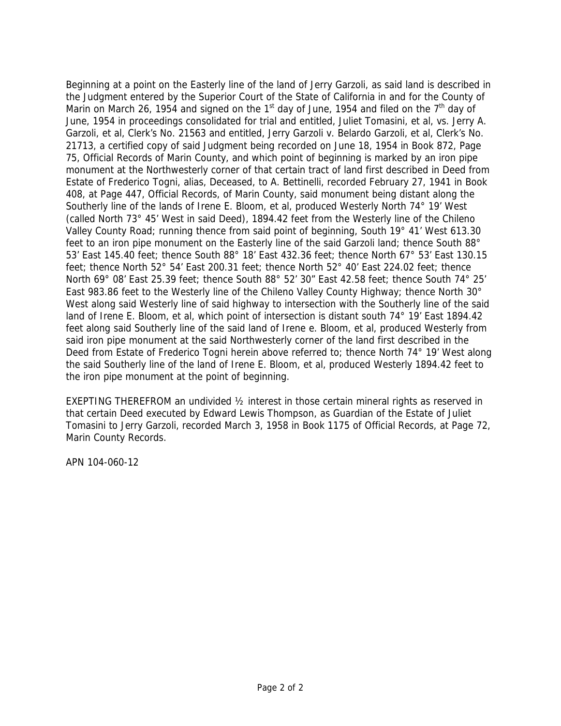Beginning at a point on the Easterly line of the land of Jerry Garzoli, as said land is described in the Judgment entered by the Superior Court of the State of California in and for the County of Marin on March 26, 1954 and signed on the 1<sup>st</sup> day of June, 1954 and filed on the 7<sup>th</sup> day of June, 1954 in proceedings consolidated for trial and entitled, Juliet Tomasini, et al, vs. Jerry A. Garzoli, et al, Clerk's No. 21563 and entitled, Jerry Garzoli v. Belardo Garzoli, et al, Clerk's No. 21713, a certified copy of said Judgment being recorded on June 18, 1954 in Book 872, Page 75, Official Records of Marin County, and which point of beginning is marked by an iron pipe monument at the Northwesterly corner of that certain tract of land first described in Deed from Estate of Frederico Togni, alias, Deceased, to A. Bettinelli, recorded February 27, 1941 in Book 408, at Page 447, Official Records, of Marin County, said monument being distant along the Southerly line of the lands of Irene E. Bloom, et al, produced Westerly North 74° 19' West (called North 73° 45' West in said Deed), 1894.42 feet from the Westerly line of the Chileno Valley County Road; running thence from said point of beginning, South 19° 41' West 613.30 feet to an iron pipe monument on the Easterly line of the said Garzoli land; thence South 88° 53' East 145.40 feet; thence South 88° 18' East 432.36 feet; thence North 67° 53' East 130.15 feet; thence North 52° 54' East 200.31 feet; thence North 52° 40' East 224.02 feet; thence North 69° 08' East 25.39 feet; thence South 88° 52' 30" East 42.58 feet; thence South 74° 25' East 983.86 feet to the Westerly line of the Chileno Valley County Highway; thence North 30° West along said Westerly line of said highway to intersection with the Southerly line of the said land of Irene E. Bloom, et al, which point of intersection is distant south 74° 19' East 1894.42 feet along said Southerly line of the said land of Irene e. Bloom, et al, produced Westerly from said iron pipe monument at the said Northwesterly corner of the land first described in the Deed from Estate of Frederico Togni herein above referred to; thence North 74° 19' West along the said Southerly line of the land of Irene E. Bloom, et al, produced Westerly 1894.42 feet to the iron pipe monument at the point of beginning.

EXEPTING THEREFROM an undivided ½ interest in those certain mineral rights as reserved in that certain Deed executed by Edward Lewis Thompson, as Guardian of the Estate of Juliet Tomasini to Jerry Garzoli, recorded March 3, 1958 in Book 1175 of Official Records, at Page 72, Marin County Records.

APN 104-060-12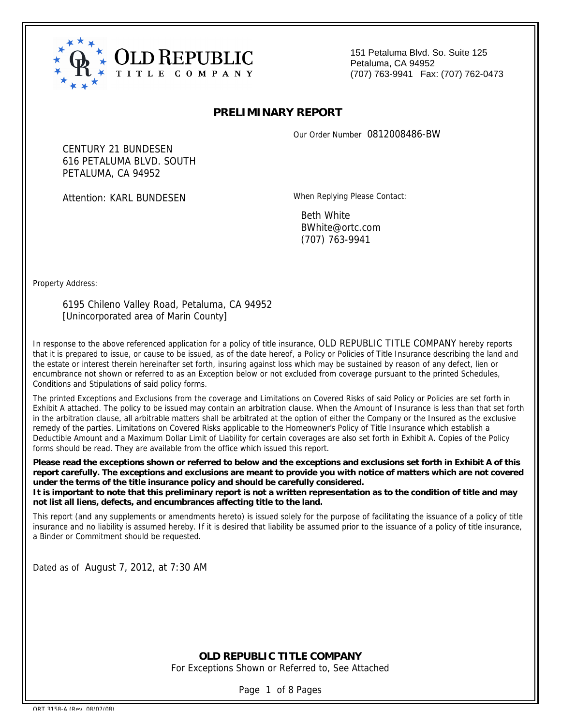

151 Petaluma Blvd. So. Suite 125 Petaluma, CA 94952 (707) 763-9941 Fax: (707) 762-0473

## **PRELIMINARY REPORT**

Our Order Number 0812008486-BW

CENTURY 21 BUNDESEN 616 PETALUMA BLVD. SOUTH PETALUMA, CA 94952

Attention: KARL BUNDESEN

When Replying Please Contact:

Beth White BWhite@ortc.com (707) 763-9941

Property Address:

### 6195 Chileno Valley Road, Petaluma, CA 94952 [Unincorporated area of Marin County]

In response to the above referenced application for a policy of title insurance, OLD REPUBLIC TITLE COMPANY hereby reports that it is prepared to issue, or cause to be issued, as of the date hereof, a Policy or Policies of Title Insurance describing the land and the estate or interest therein hereinafter set forth, insuring against loss which may be sustained by reason of any defect, lien or encumbrance not shown or referred to as an Exception below or not excluded from coverage pursuant to the printed Schedules, Conditions and Stipulations of said policy forms.

The printed Exceptions and Exclusions from the coverage and Limitations on Covered Risks of said Policy or Policies are set forth in Exhibit A attached. The policy to be issued may contain an arbitration clause. When the Amount of Insurance is less than that set forth in the arbitration clause, all arbitrable matters shall be arbitrated at the option of either the Company or the Insured as the exclusive remedy of the parties. Limitations on Covered Risks applicable to the Homeowner's Policy of Title Insurance which establish a Deductible Amount and a Maximum Dollar Limit of Liability for certain coverages are also set forth in Exhibit A. Copies of the Policy forms should be read. They are available from the office which issued this report.

**Please read the exceptions shown or referred to below and the exceptions and exclusions set forth in Exhibit A of this report carefully. The exceptions and exclusions are meant to provide you with notice of matters which are not covered under the terms of the title insurance policy and should be carefully considered. It is important to note that this preliminary report is not a written representation as to the condition of title and may not list all liens, defects, and encumbrances affecting title to the land.**

This report (and any supplements or amendments hereto) is issued solely for the purpose of facilitating the issuance of a policy of title insurance and no liability is assumed hereby. If it is desired that liability be assumed prior to the issuance of a policy of title insurance, a Binder or Commitment should be requested.

Dated as of August 7, 2012, at 7:30 AM

# **OLD REPUBLIC TITLE COMPANY**

For Exceptions Shown or Referred to, See Attached

Page 1 of 8 Pages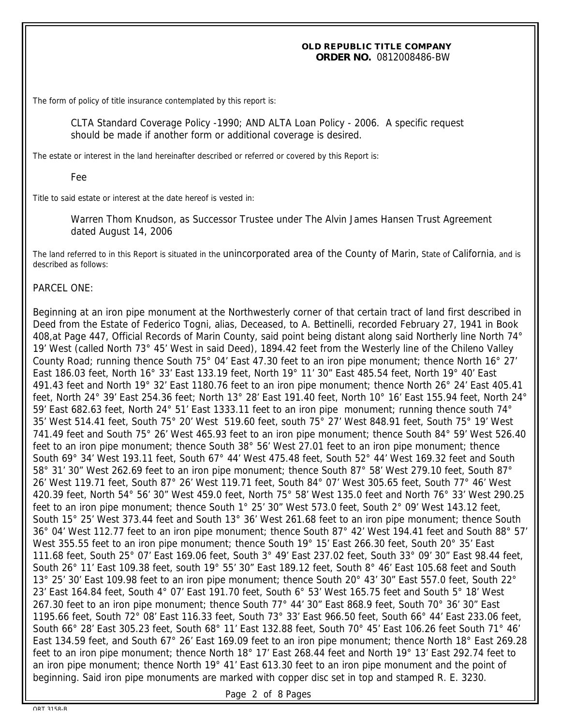The form of policy of title insurance contemplated by this report is:

CLTA Standard Coverage Policy -1990; AND ALTA Loan Policy - 2006. A specific request should be made if another form or additional coverage is desired.

The estate or interest in the land hereinafter described or referred or covered by this Report is:

Fee

Title to said estate or interest at the date hereof is vested in:

Warren Thom Knudson, as Successor Trustee under The Alvin James Hansen Trust Agreement dated August 14, 2006

The land referred to in this Report is situated in the unincorporated area of the County of Marin, State of California, and is described as follows:

PARCEL ONE:

Beginning at an iron pipe monument at the Northwesterly corner of that certain tract of land first described in Deed from the Estate of Federico Togni, alias, Deceased, to A. Bettinelli, recorded February 27, 1941 in Book 408,at Page 447, Official Records of Marin County, said point being distant along said Northerly line North 74° 19' West (called North 73° 45' West in said Deed), 1894.42 feet from the Westerly line of the Chileno Valley County Road; running thence South 75° 04' East 47.30 feet to an iron pipe monument; thence North 16° 27' East 186.03 feet, North 16° 33' East 133.19 feet, North 19° 11' 30" East 485.54 feet, North 19° 40' East 491.43 feet and North 19° 32' East 1180.76 feet to an iron pipe monument; thence North 26° 24' East 405.41 feet, North 24° 39' East 254.36 feet; North 13° 28' East 191.40 feet, North 10° 16' East 155.94 feet, North 24° 59' East 682.63 feet, North 24° 51' East 1333.11 feet to an iron pipe monument; running thence south 74° 35' West 514.41 feet, South 75° 20' West 519.60 feet, south 75° 27' West 848.91 feet, South 75° 19' West 741.49 feet and South 75° 26' West 465.93 feet to an iron pipe monument; thence South 84° 59' West 526.40 feet to an iron pipe monument; thence South 38° 56' West 27.01 feet to an iron pipe monument; thence South 69° 34' West 193.11 feet, South 67° 44' West 475.48 feet, South 52° 44' West 169.32 feet and South 58° 31' 30" West 262.69 feet to an iron pipe monument; thence South 87° 58' West 279.10 feet, South 87° 26' West 119.71 feet, South 87° 26' West 119.71 feet, South 84° 07' West 305.65 feet, South 77° 46' West 420.39 feet, North 54° 56' 30" West 459.0 feet, North 75° 58' West 135.0 feet and North 76° 33' West 290.25 feet to an iron pipe monument; thence South 1° 25' 30" West 573.0 feet, South 2° 09' West 143.12 feet, South 15° 25' West 373.44 feet and South 13° 36' West 261.68 feet to an iron pipe monument; thence South 36° 04' West 112.77 feet to an iron pipe monument; thence South 87° 42' West 194.41 feet and South 88° 57' West 355.55 feet to an iron pipe monument; thence South 19° 15' East 266.30 feet, South 20° 35' East 111.68 feet, South 25° 07' East 169.06 feet, South 3° 49' East 237.02 feet, South 33° 09' 30" East 98.44 feet, South 26° 11' East 109.38 feet, south 19° 55' 30" East 189.12 feet, South 8° 46' East 105.68 feet and South 13° 25' 30' East 109.98 feet to an iron pipe monument; thence South 20° 43' 30" East 557.0 feet, South 22° 23' East 164.84 feet, South 4° 07' East 191.70 feet, South 6° 53' West 165.75 feet and South 5° 18' West 267.30 feet to an iron pipe monument; thence South 77° 44' 30" East 868.9 feet, South 70° 36' 30" East 1195.66 feet, South 72° 08' East 116.33 feet, South 73° 33' East 966.50 feet, South 66° 44' East 233.06 feet, South 66° 28' East 305.23 feet, South 68° 11' East 132.88 feet, South 70° 45' East 106.26 feet South 71° 46' East 134.59 feet, and South 67° 26' East 169.09 feet to an iron pipe monument; thence North 18° East 269.28 feet to an iron pipe monument; thence North 18° 17' East 268.44 feet and North 19° 13' East 292.74 feet to an iron pipe monument; thence North 19° 41' East 613.30 feet to an iron pipe monument and the point of beginning. Said iron pipe monuments are marked with copper disc set in top and stamped R. E. 3230.

Page 2 of 8 Pages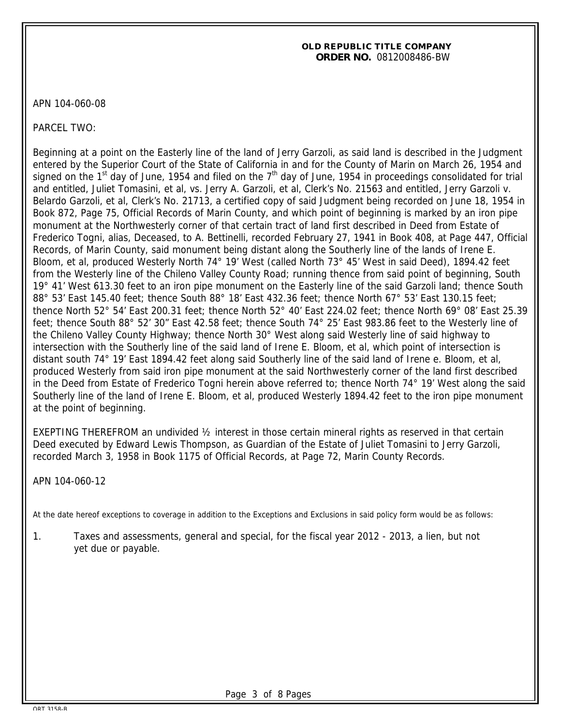APN 104-060-08

PARCEL TWO:

Beginning at a point on the Easterly line of the land of Jerry Garzoli, as said land is described in the Judgment entered by the Superior Court of the State of California in and for the County of Marin on March 26, 1954 and signed on the 1<sup>st</sup> day of June, 1954 and filed on the 7<sup>th</sup> day of June, 1954 in proceedings consolidated for trial and entitled, Juliet Tomasini, et al, vs. Jerry A. Garzoli, et al, Clerk's No. 21563 and entitled, Jerry Garzoli v. Belardo Garzoli, et al, Clerk's No. 21713, a certified copy of said Judgment being recorded on June 18, 1954 in Book 872, Page 75, Official Records of Marin County, and which point of beginning is marked by an iron pipe monument at the Northwesterly corner of that certain tract of land first described in Deed from Estate of Frederico Togni, alias, Deceased, to A. Bettinelli, recorded February 27, 1941 in Book 408, at Page 447, Official Records, of Marin County, said monument being distant along the Southerly line of the lands of Irene E. Bloom, et al, produced Westerly North 74° 19' West (called North 73° 45' West in said Deed), 1894.42 feet from the Westerly line of the Chileno Valley County Road; running thence from said point of beginning, South 19° 41' West 613.30 feet to an iron pipe monument on the Easterly line of the said Garzoli land; thence South 88° 53' East 145.40 feet; thence South 88° 18' East 432.36 feet; thence North 67° 53' East 130.15 feet; thence North 52° 54' East 200.31 feet; thence North 52° 40' East 224.02 feet; thence North 69° 08' East 25.39 feet; thence South 88° 52' 30" East 42.58 feet; thence South 74° 25' East 983.86 feet to the Westerly line of the Chileno Valley County Highway; thence North 30° West along said Westerly line of said highway to intersection with the Southerly line of the said land of Irene E. Bloom, et al, which point of intersection is distant south 74° 19' East 1894.42 feet along said Southerly line of the said land of Irene e. Bloom, et al, produced Westerly from said iron pipe monument at the said Northwesterly corner of the land first described in the Deed from Estate of Frederico Togni herein above referred to; thence North 74° 19' West along the said Southerly line of the land of Irene E. Bloom, et al, produced Westerly 1894.42 feet to the iron pipe monument at the point of beginning.

EXEPTING THEREFROM an undivided ½ interest in those certain mineral rights as reserved in that certain Deed executed by Edward Lewis Thompson, as Guardian of the Estate of Juliet Tomasini to Jerry Garzoli, recorded March 3, 1958 in Book 1175 of Official Records, at Page 72, Marin County Records.

APN 104-060-12

At the date hereof exceptions to coverage in addition to the Exceptions and Exclusions in said policy form would be as follows:

1. Taxes and assessments, general and special, for the fiscal year 2012 - 2013, a lien, but not yet due or payable.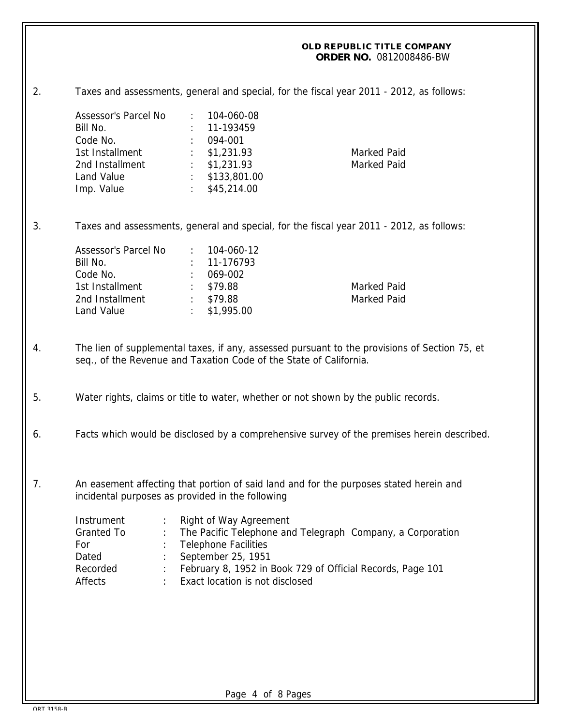2. Taxes and assessments, general and special, for the fiscal year 2011 - 2012, as follows:

| Assessor's Parcel No | $: 104 - 060 - 08$  |
|----------------------|---------------------|
| Bill No.             | $: 11 - 193459$     |
| Code No.             | $: 094 - 001$       |
| 1st Installment      | $\div$ \$1,231.93   |
| 2nd Installment      | $\div$ \$1,231.93   |
| Land Value           | $\div$ \$133,801.00 |
| Imp. Value           | $\div$ \$45,214.00  |
|                      |                     |

Marked Paid Marked Paid

Marked Paid Marked Paid

3. Taxes and assessments, general and special, for the fiscal year 2011 - 2012, as follows:

- 4. The lien of supplemental taxes, if any, assessed pursuant to the provisions of Section 75, et seq., of the Revenue and Taxation Code of the State of California.
- 5. Water rights, claims or title to water, whether or not shown by the public records.
- 6. Facts which would be disclosed by a comprehensive survey of the premises herein described.
- 7. An easement affecting that portion of said land and for the purposes stated herein and incidental purposes as provided in the following

| : Right of Way Agreement                                     |
|--------------------------------------------------------------|
| : The Pacific Telephone and Telegraph Company, a Corporation |
| : Telephone Facilities                                       |
| : September 25, 1951                                         |
| : February 8, 1952 in Book 729 of Official Records, Page 101 |
| : Exact location is not disclosed                            |
|                                                              |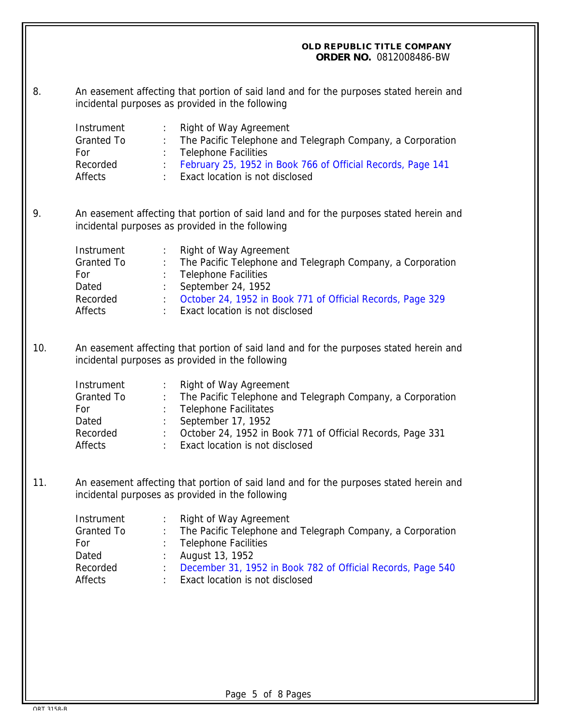|     |                                                                 |                                                                                                                           | OLD REPUBLIC TITLE COMPANY<br><b>ORDER NO. 0812008486-BW</b>                                                              |
|-----|-----------------------------------------------------------------|---------------------------------------------------------------------------------------------------------------------------|---------------------------------------------------------------------------------------------------------------------------|
| 8.  |                                                                 | incidental purposes as provided in the following                                                                          | An easement affecting that portion of said land and for the purposes stated herein and                                    |
|     | Instrument<br>Granted To<br>For<br>Recorded<br>Affects          | Right of Way Agreement<br>÷.<br>÷<br><b>Telephone Facilities</b><br>÷<br>÷.<br>Exact location is not disclosed            | The Pacific Telephone and Telegraph Company, a Corporation<br>February 25, 1952 in Book 766 of Official Records, Page 141 |
| 9.  |                                                                 | incidental purposes as provided in the following                                                                          | An easement affecting that portion of said land and for the purposes stated herein and                                    |
|     | Instrument<br>Granted To<br>For<br>Dated<br>Recorded<br>Affects | Right of Way Agreement<br>÷.<br>÷<br><b>Telephone Facilities</b><br>September 24, 1952<br>Exact location is not disclosed | The Pacific Telephone and Telegraph Company, a Corporation<br>October 24, 1952 in Book 771 of Official Records, Page 329  |
| 10. |                                                                 | incidental purposes as provided in the following                                                                          | An easement affecting that portion of said land and for the purposes stated herein and                                    |
|     | Instrument<br>Granted To<br>For<br>Dated<br>Recorded<br>Affects | Right of Way Agreement<br><b>Telephone Facilitates</b><br>September 17, 1952<br>÷<br>Exact location is not disclosed      | The Pacific Telephone and Telegraph Company, a Corporation<br>October 24, 1952 in Book 771 of Official Records, Page 331  |
| 11. |                                                                 | incidental purposes as provided in the following                                                                          | An easement affecting that portion of said land and for the purposes stated herein and                                    |
|     | Instrument<br>Granted To<br>For<br>Dated<br>Recorded<br>Affects | Right of Way Agreement<br><b>Telephone Facilities</b><br>August 13, 1952<br>Exact location is not disclosed               | The Pacific Telephone and Telegraph Company, a Corporation<br>December 31, 1952 in Book 782 of Official Records, Page 540 |
|     |                                                                 |                                                                                                                           |                                                                                                                           |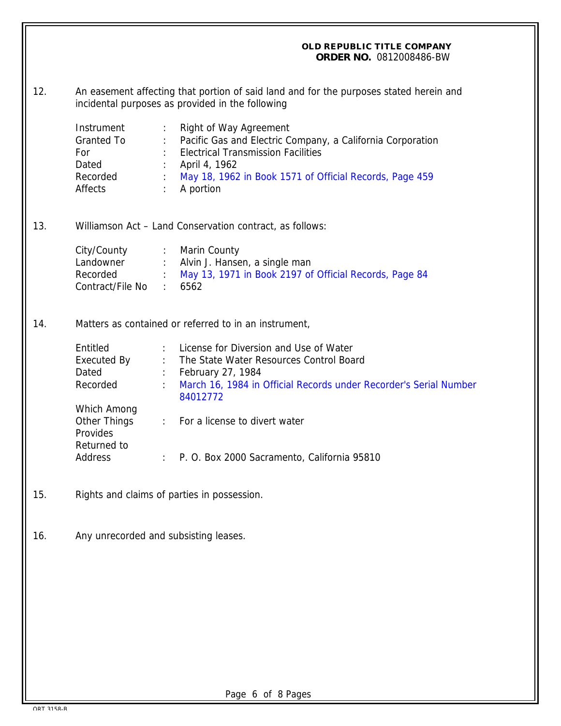# 12. An easement affecting that portion of said land and for the purposes stated herein and incidental purposes as provided in the following

| Instrument        | Right of Way Agreement                                       |
|-------------------|--------------------------------------------------------------|
| <b>Granted To</b> | : Pacific Gas and Electric Company, a California Corporation |
| For               | : Electrical Transmission Facilities                         |
| Dated             | : April 4, 1962                                              |
| Recorded          | May 18, 1962 in Book 1571 of Official Records, Page 459      |
| Affects           | $\therefore$ A portion                                       |

### 13. Williamson Act – Land Conservation contract, as follows:

| City/County      | : Marin County                                         |
|------------------|--------------------------------------------------------|
| Landowner        | : Alvin J. Hansen, a single man                        |
| Recorded         | May 13, 1971 in Book 2197 of Official Records, Page 84 |
| Contract/File No | 6562                                                   |

## 14. Matters as contained or referred to in an instrument,

| Entitled                                               | License for Diversion and Use of Water                                          |
|--------------------------------------------------------|---------------------------------------------------------------------------------|
| Executed By                                            | The State Water Resources Control Board                                         |
| Dated                                                  | February 27, 1984                                                               |
| Recorded                                               | : March 16, 1984 in Official Records under Recorder's Serial Number<br>84012772 |
| Which Among<br>Other Things<br>Provides<br>Returned to | : For a license to divert water                                                 |
| Address                                                | : P.O. Box 2000 Sacramento, California 95810                                    |

- 15. Rights and claims of parties in possession.
- 16. Any unrecorded and subsisting leases.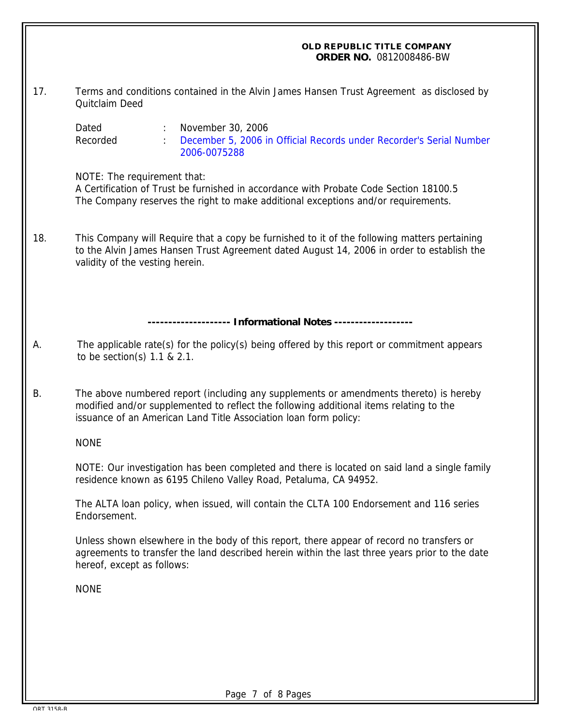17. Terms and conditions contained in the Alvin James Hansen Trust Agreement as disclosed by Quitclaim Deed

Dated : November 30, 2006 Recorded : [December 5, 2006 in Official Records under Recorder's Serial Number](http://webdocs.ortc.com/RD/GetDTreeDocs.aspx?DocId=04020355-51B1-4C83-8EC9-6BF523C2EDC3)  [2006-0075288](http://webdocs.ortc.com/RD/GetDTreeDocs.aspx?DocId=04020355-51B1-4C83-8EC9-6BF523C2EDC3)

NOTE: The requirement that:

A Certification of Trust be furnished in accordance with Probate Code Section 18100.5 The Company reserves the right to make additional exceptions and/or requirements.

18. This Company will Require that a copy be furnished to it of the following matters pertaining to the Alvin James Hansen Trust Agreement dated August 14, 2006 in order to establish the validity of the vesting herein.

**-------------------- Informational Notes -------------------**

- A. The applicable rate(s) for the policy(s) being offered by this report or commitment appears to be section(s) 1.1 & 2.1.
- The above numbered report (including any supplements or amendments thereto) is hereby modified and/or supplemented to reflect the following additional items relating to the issuance of an American Land Title Association loan form policy: B.

NONE

NOTE: Our investigation has been completed and there is located on said land a single family residence known as 6195 Chileno Valley Road, Petaluma, CA 94952.

The ALTA loan policy, when issued, will contain the CLTA 100 Endorsement and 116 series Endorsement.

Unless shown elsewhere in the body of this report, there appear of record no transfers or agreements to transfer the land described herein within the last three years prior to the date hereof, except as follows:

NONE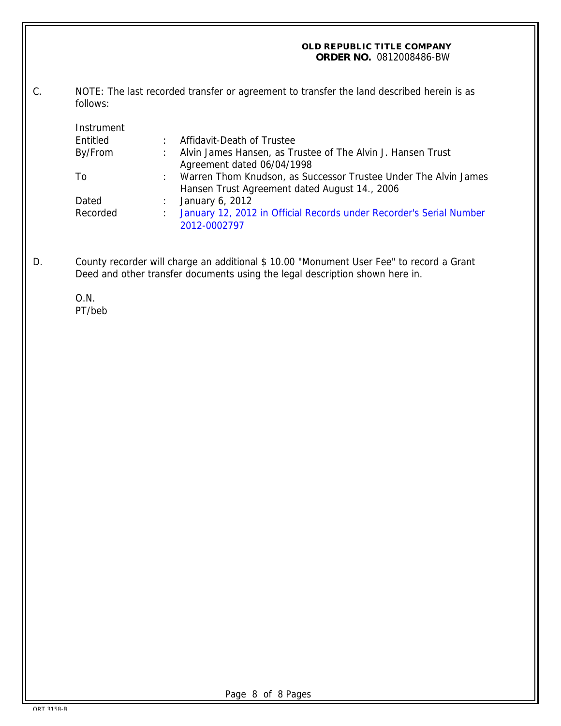NOTE: The last recorded transfer or agreement to transfer the land described herein is as follows: C.

| Instrument |                                                                     |
|------------|---------------------------------------------------------------------|
| Entitled   | Affidavit-Death of Trustee                                          |
| By/From    | Alvin James Hansen, as Trustee of The Alvin J. Hansen Trust         |
|            | Agreement dated 06/04/1998                                          |
| To         | Warren Thom Knudson, as Successor Trustee Under The Alvin James     |
|            | Hansen Trust Agreement dated August 14., 2006                       |
| Dated      | January 6, 2012                                                     |
| Recorded   | January 12, 2012 in Official Records under Recorder's Serial Number |
|            | 2012-0002797                                                        |

D. County recorder will charge an additional \$ 10.00 "Monument User Fee" to record a Grant Deed and other transfer documents using the legal description shown here in.

O.N. PT/beb

Page 8 of 8 Pages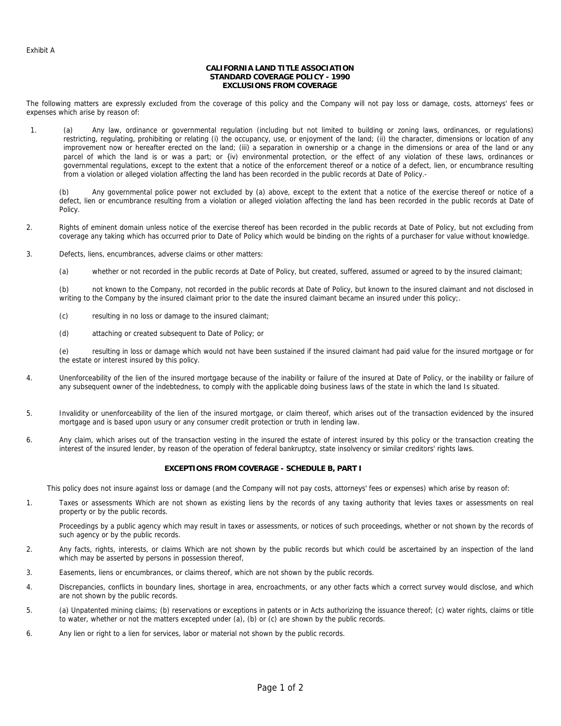#### **CALIFORNIA LAND TITLE ASSOCIATION STANDARD COVERAGE POLICY - 1990 EXCLUSIONS FROM COVERAGE**

The following matters are expressly excluded from the coverage of this policy and the Company will not pay loss or damage, costs, attorneys' fees or expenses which arise by reason of:

1. (a) Any law, ordinance or governmental regulation (including but not limited to building or zoning laws, ordinances, or regulations) restricting, regulating, prohibiting or relating (i) the occupancy, use, or enjoyment of the land; (ii) the character, dimensions or location of any improvement now or hereafter erected on the land; (iii) a separation in ownership or a change in the dimensions or area of the land or any parcel of which the land is or was a part; or {iv) environmental protection, or the effect of any violation of these laws, ordinances or governmental regulations, except to the extent that a notice of the enforcement thereof or a notice of a defect, lien, or encumbrance resulting from a violation or alleged violation affecting the land has been recorded in the public records at Date of Policy.-

(b) Any governmental police power not excluded by (a) above, except to the extent that a notice of the exercise thereof or notice of a defect, lien or encumbrance resulting from a violation or alleged violation affecting the land has been recorded in the public records at Date of Policy.

- 2. Rights of eminent domain unless notice of the exercise thereof has been recorded in the public records at Date of Policy, but not excluding from coverage any taking which has occurred prior to Date of Policy which would be binding on the rights of a purchaser for value without knowledge.
- 3. Defects, liens, encumbrances, adverse claims or other matters:
	- (a) whether or not recorded in the public records at Date of Policy, but created, suffered, assumed or agreed to by the insured claimant;

(b) not known to the Company, not recorded in the public records at Date of Policy, but known to the insured claimant and not disclosed in writing to the Company by the insured claimant prior to the date the insured claimant became an insured under this policy;.

- (c) resulting in no loss or damage to the insured claimant;
- (d) attaching or created subsequent to Date of Policy; or

(e) resulting in loss or damage which would not have been sustained if the insured claimant had paid value for the insured mortgage or for the estate or interest insured by this policy.

- 4. Unenforceability of the lien of the insured mortgage because of the inability or failure of the insured at Date of Policy, or the inability or failure of any subsequent owner of the indebtedness, to comply with the applicable doing business laws of the state in which the land Is situated.
- 5. Invalidity or unenforceability of the lien of the insured mortgage, or claim thereof, which arises out of the transaction evidenced by the insured mortgage and is based upon usury or any consumer credit protection or truth in lending law.
- 6. Any claim, which arises out of the transaction vesting in the insured the estate of interest insured by this policy or the transaction creating the interest of the insured lender, by reason of the operation of federal bankruptcy, state insolvency or similar creditors' rights laws.

#### **EXCEPTIONS FROM COVERAGE - SCHEDULE B, PART I**

This policy does not insure against loss or damage (and the Company will not pay costs, attorneys' fees or expenses) which arise by reason of:

1. Taxes or assessments Which are not shown as existing liens by the records of any taxing authority that levies taxes or assessments on real property or by the public records.

Proceedings by a public agency which may result in taxes or assessments, or notices of such proceedings, whether or not shown by the records of such agency or by the public records.

- 2. Any facts, rights, interests, or claims Which are not shown by the public records but which could be ascertained by an inspection of the land which may be asserted by persons in possession thereof,
- 3. Easements, liens or encumbrances, or claims thereof, which are not shown by the public records.
- 4. Discrepancies, conflicts in boundary lines, shortage in area, encroachments, or any other facts which a correct survey would disclose, and which are not shown by the public records.
- 5. (a) Unpatented mining claims; (b) reservations or exceptions in patents or in Acts authorizing the issuance thereof; (c) water rights, claims or title to water, whether or not the matters excepted under (a), (b) or (c) are shown by the public records.
- 6. Any lien or right to a lien for services, labor or material not shown by the public records.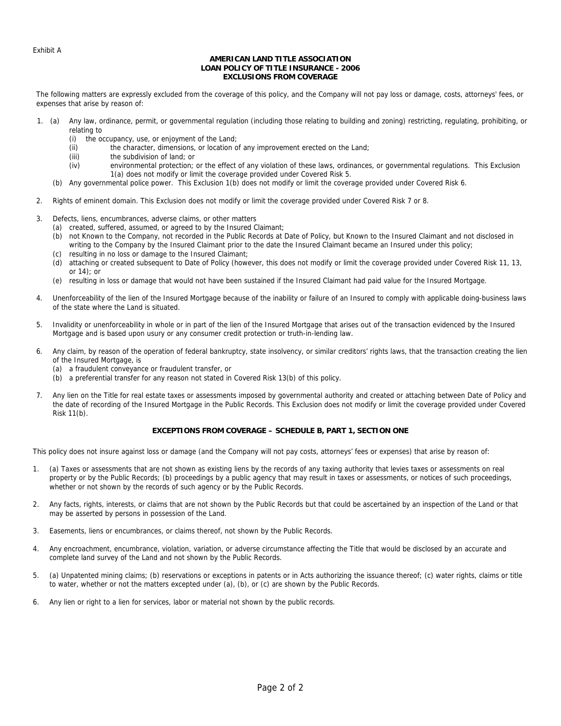Exhibit A

#### **AMERICAN LAND TITLE ASSOCIATION LOAN POLICY OF TITLE INSURANCE - 2006 EXCLUSIONS FROM COVERAGE**

The following matters are expressly excluded from the coverage of this policy, and the Company will not pay loss or damage, costs, attorneys' fees, or expenses that arise by reason of:

- 1. (a) Any law, ordinance, permit, or governmental regulation (including those relating to building and zoning) restricting, regulating, prohibiting, or relating to
	- (i) the occupancy, use, or enjoyment of the Land;
	- (ii) the character, dimensions, or location of any improvement erected on the Land;
	- (iii) the subdivision of land; or<br>(iv) environmental protection;
	- environmental protection; or the effect of any violation of these laws, ordinances, or governmental regulations. This Exclusion 1(a) does not modify or limit the coverage provided under Covered Risk 5.
	- (b) Any governmental police power. This Exclusion 1(b) does not modify or limit the coverage provided under Covered Risk 6.
- 2. Rights of eminent domain. This Exclusion does not modify or limit the coverage provided under Covered Risk 7 or 8.
- 3. Defects, liens, encumbrances, adverse claims, or other matters
	- (a) created, suffered, assumed, or agreed to by the Insured Claimant;
	- (b) not Known to the Company, not recorded in the Public Records at Date of Policy, but Known to the Insured Claimant and not disclosed in writing to the Company by the Insured Claimant prior to the date the Insured Claimant became an Insured under this policy;
	- (c) resulting in no loss or damage to the Insured Claimant;
	- (d) attaching or created subsequent to Date of Policy (however, this does not modify or limit the coverage provided under Covered Risk 11, 13, or 14); or
	- (e) resulting in loss or damage that would not have been sustained if the Insured Claimant had paid value for the Insured Mortgage.
- 4. Unenforceability of the lien of the Insured Mortgage because of the inability or failure of an Insured to comply with applicable doing-business laws of the state where the Land is situated.
- 5. Invalidity or unenforceability in whole or in part of the lien of the Insured Mortgage that arises out of the transaction evidenced by the Insured Mortgage and is based upon usury or any consumer credit protection or truth-in-lending law.
- 6. Any claim, by reason of the operation of federal bankruptcy, state insolvency, or similar creditors' rights laws, that the transaction creating the lien of the Insured Mortgage, is
	- (a) a fraudulent conveyance or fraudulent transfer, or
	- (b) a preferential transfer for any reason not stated in Covered Risk 13(b) of this policy.
- 7. Any lien on the Title for real estate taxes or assessments imposed by governmental authority and created or attaching between Date of Policy and the date of recording of the Insured Mortgage in the Public Records. This Exclusion does not modify or limit the coverage provided under Covered Risk 11(b).

#### **EXCEPTIONS FROM COVERAGE – SCHEDULE B, PART 1, SECTION ONE**

This policy does not insure against loss or damage (and the Company will not pay costs, attorneys' fees or expenses) that arise by reason of:

- 1. (a) Taxes or assessments that are not shown as existing liens by the records of any taxing authority that levies taxes or assessments on real property or by the Public Records; (b) proceedings by a public agency that may result in taxes or assessments, or notices of such proceedings, whether or not shown by the records of such agency or by the Public Records.
- 2. Any facts, rights, interests, or claims that are not shown by the Public Records but that could be ascertained by an inspection of the Land or that may be asserted by persons in possession of the Land.
- 3. Easements, liens or encumbrances, or claims thereof, not shown by the Public Records.
- 4. Any encroachment, encumbrance, violation, variation, or adverse circumstance affecting the Title that would be disclosed by an accurate and complete land survey of the Land and not shown by the Public Records.
- 5. (a) Unpatented mining claims; (b) reservations or exceptions in patents or in Acts authorizing the issuance thereof; (c) water rights, claims or title to water, whether or not the matters excepted under (a), (b), or (c) are shown by the Public Records.
- 6. Any lien or right to a lien for services, labor or material not shown by the public records.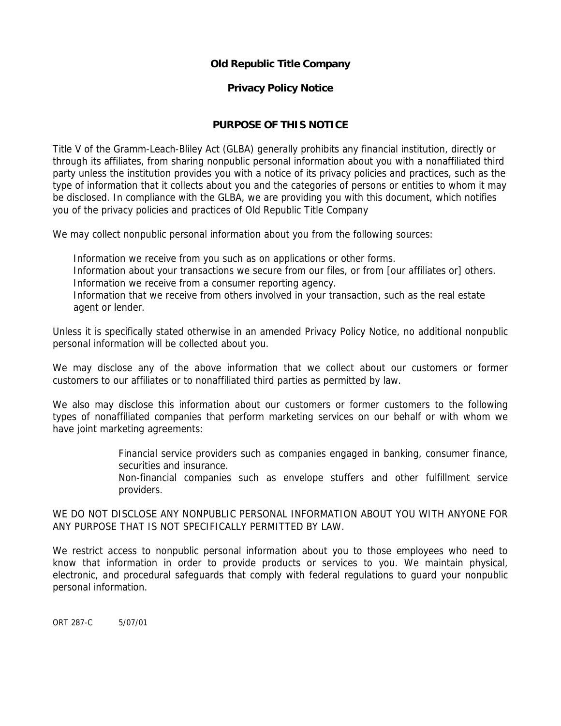## **Old Republic Title Company**

## **Privacy Policy Notice**

### **PURPOSE OF THIS NOTICE**

Title V of the Gramm-Leach-Bliley Act (GLBA) generally prohibits any financial institution, directly or through its affiliates, from sharing nonpublic personal information about you with a nonaffiliated third party unless the institution provides you with a notice of its privacy policies and practices, such as the type of information that it collects about you and the categories of persons or entities to whom it may be disclosed. In compliance with the GLBA, we are providing you with this document, which notifies you of the privacy policies and practices of Old Republic Title Company

We may collect nonpublic personal information about you from the following sources:

Information we receive from you such as on applications or other forms. Information about your transactions we secure from our files, or from [our affiliates or] others. Information we receive from a consumer reporting agency. Information that we receive from others involved in your transaction, such as the real estate agent or lender.

Unless it is specifically stated otherwise in an amended Privacy Policy Notice, no additional nonpublic personal information will be collected about you.

We may disclose any of the above information that we collect about our customers or former customers to our affiliates or to nonaffiliated third parties as permitted by law.

We also may disclose this information about our customers or former customers to the following types of nonaffiliated companies that perform marketing services on our behalf or with whom we have joint marketing agreements:

> Financial service providers such as companies engaged in banking, consumer finance, securities and insurance.

> Non-financial companies such as envelope stuffers and other fulfillment service providers.

WE DO NOT DISCLOSE ANY NONPUBLIC PERSONAL INFORMATION ABOUT YOU WITH ANYONE FOR ANY PURPOSE THAT IS NOT SPECIFICALLY PERMITTED BY LAW.

We restrict access to nonpublic personal information about you to those employees who need to know that information in order to provide products or services to you. We maintain physical, electronic, and procedural safeguards that comply with federal regulations to guard your nonpublic personal information.

ORT 287-C 5/07/01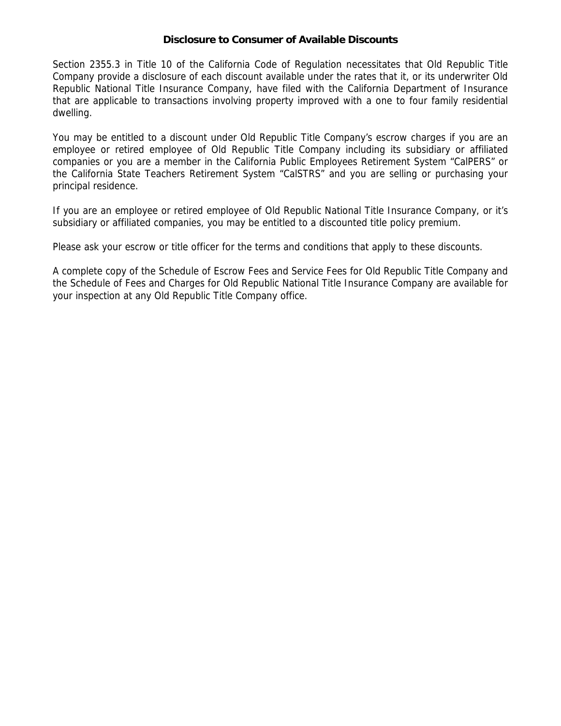### **Disclosure to Consumer of Available Discounts**

Section 2355.3 in Title 10 of the California Code of Regulation necessitates that Old Republic Title Company provide a disclosure of each discount available under the rates that it, or its underwriter Old Republic National Title Insurance Company, have filed with the California Department of Insurance that are applicable to transactions involving property improved with a one to four family residential dwelling.

You may be entitled to a discount under Old Republic Title Company's escrow charges if you are an employee or retired employee of Old Republic Title Company including its subsidiary or affiliated companies or you are a member in the California Public Employees Retirement System "CalPERS" or the California State Teachers Retirement System "CalSTRS" and you are selling or purchasing your principal residence.

If you are an employee or retired employee of Old Republic National Title Insurance Company, or it's subsidiary or affiliated companies, you may be entitled to a discounted title policy premium.

Please ask your escrow or title officer for the terms and conditions that apply to these discounts.

A complete copy of the Schedule of Escrow Fees and Service Fees for Old Republic Title Company and the Schedule of Fees and Charges for Old Republic National Title Insurance Company are available for your inspection at any Old Republic Title Company office.